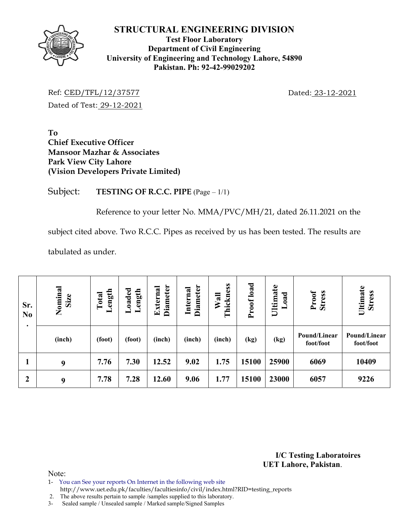

**Test Floor Laboratory Department of Civil Engineering University of Engineering and Technology Lahore, 54890 Pakistan. Ph: 92-42-99029202** 

Ref: CED/TFL/12/37577 Dated: 23-12-2021 Dated of Test: 29-12-2021

**To Chief Executive Officer Mansoor Mazhar & Associates Park View City Lahore (Vision Developers Private Limited)** 

Subject: **TESTING OF R.C.C. PIPE** (Page – 1/1)

Reference to your letter No. MMA/PVC/MH/21, dated 26.11.2021 on the

subject cited above. Two R.C.C. Pipes as received by us has been tested. The results are

tabulated as under.

| Sr.<br>N <sub>0</sub><br>$\bullet$ | Nominal<br>Size | ength<br>Total<br>一 | Loaded<br>Length | <b>Diameter</b><br>External | Diameter<br>Internal | Thickness<br>Wall | Proof load | Ultimate<br>ರ<br>$\tilde{a}$ | <b>Stress</b><br>Proof    | Ultimate<br><b>Stress</b> |  |
|------------------------------------|-----------------|---------------------|------------------|-----------------------------|----------------------|-------------------|------------|------------------------------|---------------------------|---------------------------|--|
|                                    | (inch)          | (foot)              | (foot)           | (inch)                      | (inch)               | (inch)            | (kg)       | (kg)                         | Pound/Linear<br>foot/foot | Pound/Linear<br>foot/foot |  |
| 1                                  | 9               | 7.76                | 7.30             | 12.52                       | 9.02                 | 1.75              | 15100      | 25900                        | 6069                      | 10409                     |  |
| $\boldsymbol{2}$                   | 9               | 7.78                | 7.28             | 12.60                       | 9.06                 | 1.77              | 15100      | 23000                        | 6057                      | 9226                      |  |

**I/C Testing Laboratoires UET Lahore, Pakistan**.

Note:

- 1- You can See your reports On Internet in the following web site
- http://www.uet.edu.pk/faculties/facultiesinfo/civil/index.html?RID=testing\_reports
- 2. The above results pertain to sample /samples supplied to this laboratory.
- 3- Sealed sample / Unsealed sample / Marked sample/Signed Samples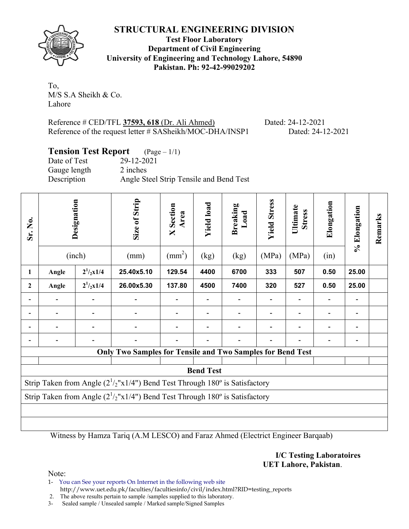

**Test Floor Laboratory Department of Civil Engineering University of Engineering and Technology Lahore, 54890 Pakistan. Ph: 92-42-99029202** 

To, M/S S.A Sheikh & Co. Lahore

Reference # CED/TFL **37593, 618** (Dr. Ali Ahmed) Dated: 24-12-2021 Reference of the request letter # SASheikh/MOC-DHA/INSP1 Dated: 24-12-2021

# **Tension Test Report** (Page – 1/1)

Date of Test 29-12-2021 Gauge length 2 inches Description Angle Steel Strip Tensile and Bend Test

| Sr. No.      |       | Designation<br>(inch) | Size of Strip<br>(mm)                                                                     | <b>X</b> Section<br>Area<br>$\text{(mm}^2)$ | <b>Yield load</b><br>(kg) | <b>Breaking</b><br>Load<br>(kg) | <b>Yield Stress</b><br>(MPa) | Ultimate<br><b>Stress</b><br>(MPa) | Elongation<br>(in) | % Elongation | Remarks |
|--------------|-------|-----------------------|-------------------------------------------------------------------------------------------|---------------------------------------------|---------------------------|---------------------------------|------------------------------|------------------------------------|--------------------|--------------|---------|
| 1            | Angle | $2^{1}/2x1/4$         | 25.40x5.10                                                                                | 129.54                                      | 4400                      | 6700                            | 333                          | 507                                | 0.50               | 25.00        |         |
| $\mathbf{2}$ | Angle | $2^{1}/2x1/4$         | 26.00x5.30                                                                                | 137.80                                      | 4500                      | 7400                            | 320                          | 527                                | 0.50               | 25.00        |         |
|              |       |                       |                                                                                           |                                             |                           |                                 |                              |                                    |                    |              |         |
|              |       |                       |                                                                                           |                                             |                           |                                 |                              |                                    |                    |              |         |
|              |       |                       |                                                                                           |                                             |                           |                                 |                              |                                    |                    |              |         |
|              |       |                       |                                                                                           |                                             |                           |                                 |                              |                                    |                    | -            |         |
|              |       |                       | Only Two Samples for Tensile and Two Samples for Bend Test                                |                                             |                           |                                 |                              |                                    |                    |              |         |
|              |       |                       |                                                                                           |                                             | <b>Bend Test</b>          |                                 |                              |                                    |                    |              |         |
|              |       |                       | Strip Taken from Angle $(2^1/2"x1/4")$ Bend Test Through 180 <sup>°</sup> is Satisfactory |                                             |                           |                                 |                              |                                    |                    |              |         |
|              |       |                       | Strip Taken from Angle $(2^1/2"x1/4")$ Bend Test Through 180° is Satisfactory             |                                             |                           |                                 |                              |                                    |                    |              |         |
|              |       |                       |                                                                                           |                                             |                           |                                 |                              |                                    |                    |              |         |
|              |       |                       |                                                                                           |                                             |                           |                                 |                              |                                    |                    |              |         |

Witness by Hamza Tariq (A.M LESCO) and Faraz Ahmed (Electrict Engineer Barqaab)

**I/C Testing Laboratoires UET Lahore, Pakistan**.

Note:

1- You can See your reports On Internet in the following web site http://www.uet.edu.pk/faculties/facultiesinfo/civil/index.html?RID=testing\_reports

2. The above results pertain to sample /samples supplied to this laboratory.

3- Sealed sample / Unsealed sample / Marked sample/Signed Samples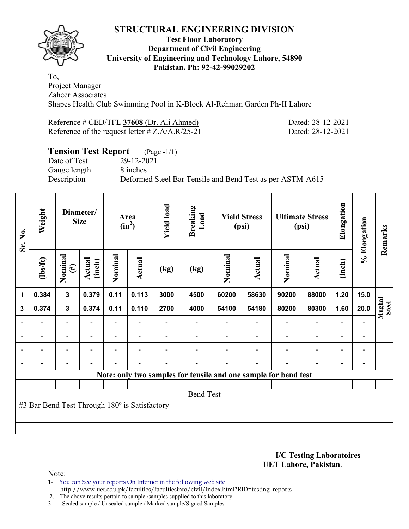

#### **Test Floor Laboratory Department of Civil Engineering University of Engineering and Technology Lahore, 54890 Pakistan. Ph: 92-42-99029202**

To, Project Manager Zaheer Associates Shapes Health Club Swimming Pool in K-Block Al-Rehman Garden Ph-II Lahore

| Reference $\#$ CED/TFL 37608 (Dr. Ali Ahmed)       |  |
|----------------------------------------------------|--|
| Reference of the request letter $\# Z.A/A.R/25-21$ |  |

Dated: 28-12-2021 Dated: 28-12-2021

# **Tension Test Report** (Page -1/1)

Gauge length 8 inches

Date of Test 29-12-2021 Description Deformed Steel Bar Tensile and Bend Test as per ASTM-A615

| Sr. No.                  | Weight                                        |                              | Diameter/<br><b>Size</b> | Area<br>$(in^2)$         |                          | <b>Yield load</b> | <b>Breaking</b><br>Load | <b>Yield Stress</b><br>(psi)                                    |        | <b>Ultimate Stress</b><br>(psi) |                          | Elongation               | % Elongation                 | Remarks                |
|--------------------------|-----------------------------------------------|------------------------------|--------------------------|--------------------------|--------------------------|-------------------|-------------------------|-----------------------------------------------------------------|--------|---------------------------------|--------------------------|--------------------------|------------------------------|------------------------|
|                          | (1bs/ft)                                      | Nominal<br>$(\#)$            | Actual<br>(inch)         | Nominal                  | Actual                   | (kg)              | (kg)                    | Nominal                                                         | Actual | Nominal                         | Actual                   | (inch)                   |                              |                        |
| 1                        | 0.384                                         | 3                            | 0.379                    | 0.11                     | 0.113                    | 3000              | 4500                    | 60200                                                           | 58630  | 90200                           | 88000                    | 1.20                     | 15.0                         |                        |
| $\mathbf{2}$             | 0.374                                         | $\mathbf 3$                  | 0.374                    | 0.11                     | 0.110                    | 2700              | 4000                    | 54100                                                           | 54180  | 80200                           | 80300                    | 1.60                     | 20.0                         | Mughal<br><b>Steel</b> |
|                          |                                               |                              |                          |                          |                          |                   |                         |                                                                 |        |                                 |                          |                          |                              |                        |
| $\overline{\phantom{a}}$ |                                               | $\qquad \qquad \blacksquare$ | $\blacksquare$           |                          | $\overline{\phantom{a}}$ |                   |                         |                                                                 |        |                                 | $\overline{\phantom{a}}$ | $\overline{\phantom{a}}$ | $\qquad \qquad \blacksquare$ |                        |
| ۰                        |                                               | $\overline{\phantom{0}}$     |                          | $\blacksquare$           | $\blacksquare$           |                   |                         |                                                                 |        |                                 | $\overline{\phantom{0}}$ | $\blacksquare$           | $\qquad \qquad \blacksquare$ |                        |
|                          |                                               | $\overline{\phantom{0}}$     |                          | $\overline{\phantom{0}}$ | $\overline{\phantom{a}}$ | ۰                 | $\overline{a}$          |                                                                 |        |                                 | $\overline{\phantom{0}}$ | $\overline{\phantom{0}}$ | $\qquad \qquad \blacksquare$ |                        |
|                          |                                               |                              |                          |                          |                          |                   |                         | Note: only two samples for tensile and one sample for bend test |        |                                 |                          |                          |                              |                        |
|                          |                                               |                              |                          |                          |                          |                   |                         |                                                                 |        |                                 |                          |                          |                              |                        |
|                          |                                               |                              |                          |                          |                          |                   | <b>Bend Test</b>        |                                                                 |        |                                 |                          |                          |                              |                        |
|                          | #3 Bar Bend Test Through 180° is Satisfactory |                              |                          |                          |                          |                   |                         |                                                                 |        |                                 |                          |                          |                              |                        |
|                          |                                               |                              |                          |                          |                          |                   |                         |                                                                 |        |                                 |                          |                          |                              |                        |
|                          |                                               |                              |                          |                          |                          |                   |                         |                                                                 |        |                                 |                          |                          |                              |                        |

**I/C Testing Laboratoires UET Lahore, Pakistan**.

Note:

1- You can See your reports On Internet in the following web site http://www.uet.edu.pk/faculties/facultiesinfo/civil/index.html?RID=testing\_reports

2. The above results pertain to sample /samples supplied to this laboratory.

3- Sealed sample / Unsealed sample / Marked sample/Signed Samples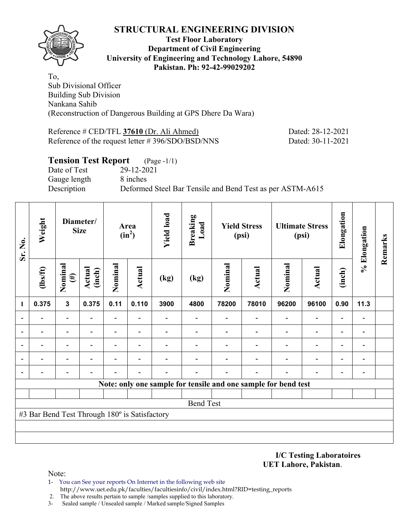

#### **Test Floor Laboratory Department of Civil Engineering University of Engineering and Technology Lahore, 54890 Pakistan. Ph: 92-42-99029202**

To, Sub Divisional Officer Building Sub Division Nankana Sahib (Reconstruction of Dangerous Building at GPS Dhere Da Wara)

Reference # CED/TFL **37610** (Dr. Ali Ahmed) Dated: 28-12-2021 Reference of the request letter # 396/SDO/BSD/NNS Dated: 30-11-2021

### **Tension Test Report** (Page -1/1) Date of Test 29-12-2021 Gauge length 8 inches Description Deformed Steel Bar Tensile and Bend Test as per ASTM-A615

| Sr. No.        | Weight                                        |                                              | Diameter/<br><b>Size</b> |                | Area<br>$(in^2)$         | <b>Yield load</b> | <b>Breaking</b><br>Load                                        | <b>Yield Stress</b><br>(psi) |               | <b>Ultimate Stress</b><br>(psi) |                          | Elongation               | % Elongation             | Remarks |
|----------------|-----------------------------------------------|----------------------------------------------|--------------------------|----------------|--------------------------|-------------------|----------------------------------------------------------------|------------------------------|---------------|---------------------------------|--------------------------|--------------------------|--------------------------|---------|
|                | $\frac{2}{10}$                                | Nominal<br><b>Actual</b><br>(inch)<br>$(\#)$ |                          | Nominal        | Actual                   | (kg)              | (kg)                                                           | Nominal                      | <b>Actual</b> | Nominal                         | <b>Actual</b>            | (inch)                   |                          |         |
| 1              | 0.375                                         | $\overline{\mathbf{3}}$                      | 0.375                    | 0.11           | 0.110                    | 3900              | 4800                                                           | 78200                        | 78010         | 96200                           | 96100                    | 0.90                     | 11.3                     |         |
| $\blacksquare$ |                                               | $\blacksquare$                               |                          |                |                          |                   |                                                                |                              |               |                                 |                          |                          |                          |         |
| $\blacksquare$ |                                               |                                              |                          |                |                          |                   |                                                                |                              |               |                                 |                          |                          |                          |         |
| ٠              |                                               | $\overline{\phantom{0}}$                     |                          | $\overline{a}$ |                          |                   |                                                                |                              |               |                                 | $\overline{\phantom{0}}$ | $\blacksquare$           |                          |         |
|                |                                               | $\overline{\phantom{0}}$                     | $\overline{a}$           | $\overline{a}$ | $\overline{\phantom{0}}$ |                   |                                                                |                              |               |                                 | $\overline{\phantom{0}}$ | $\overline{\phantom{0}}$ |                          |         |
| $\blacksquare$ |                                               | $\overline{\phantom{0}}$                     |                          |                |                          |                   |                                                                |                              |               |                                 |                          | ٠                        | $\overline{\phantom{0}}$ |         |
|                |                                               |                                              |                          |                |                          |                   | Note: only one sample for tensile and one sample for bend test |                              |               |                                 |                          |                          |                          |         |
|                |                                               |                                              |                          |                |                          |                   |                                                                |                              |               |                                 |                          |                          |                          |         |
|                |                                               |                                              |                          |                |                          |                   | <b>Bend Test</b>                                               |                              |               |                                 |                          |                          |                          |         |
|                | #3 Bar Bend Test Through 180° is Satisfactory |                                              |                          |                |                          |                   |                                                                |                              |               |                                 |                          |                          |                          |         |
|                |                                               |                                              |                          |                |                          |                   |                                                                |                              |               |                                 |                          |                          |                          |         |
|                |                                               |                                              |                          |                |                          |                   |                                                                |                              |               |                                 |                          |                          |                          |         |

**I/C Testing Laboratoires UET Lahore, Pakistan**.

Note:

- 1- You can See your reports On Internet in the following web site http://www.uet.edu.pk/faculties/facultiesinfo/civil/index.html?RID=testing\_reports
- 2. The above results pertain to sample /samples supplied to this laboratory.
- 3- Sealed sample / Unsealed sample / Marked sample/Signed Samples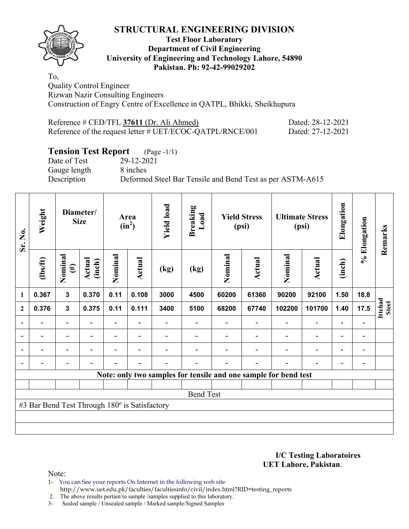

#### **Test Floor Laboratory Department of Civil Engineering University of Engineering and Technology Lahore, 54890 Pakistan. Ph: 92-42-99029202**

To, Quality Control Engineer Rizwan Nazir Consulting Engineers Construction of Engry Centre of Excellence in QATPL, Bhikki, Sheikhupura

| Reference $\#$ CED/TFL 37611 (Dr. Ali Ahmed)              | Dated: 28-12-2021 |
|-----------------------------------------------------------|-------------------|
| Reference of the request letter # UET/ECOC-QATPL/RNCE/001 | Dated: 27-12-2021 |

# **Tension Test Report** (Page -1/1)

Gauge length 8 inches

Date of Test 29-12-2021

Description Deformed Steel Bar Tensile and Bend Test as per ASTM-A615

| Sr. No.      | Weight                                        |                          | Diameter/<br><b>Size</b> | Area<br>$(in^2)$         |                          | <b>Yield load</b> | <b>Breaking</b><br>Load                                         | <b>Yield Stress</b><br>(psi) |        | <b>Ultimate Stress</b><br>(psi) |                          | Elongation               | % Elongation                 | Remarks                 |
|--------------|-----------------------------------------------|--------------------------|--------------------------|--------------------------|--------------------------|-------------------|-----------------------------------------------------------------|------------------------------|--------|---------------------------------|--------------------------|--------------------------|------------------------------|-------------------------|
|              | $lbsft$                                       | Nominal<br>$(\#)$        | Actual<br>(inch)         | Nominal                  | Actual                   | (kg)              | (kg)                                                            | Nominal                      | Actual | Nominal                         | <b>Actual</b>            | (inch)                   |                              |                         |
| 1            | 0.367                                         | $\mathbf{3}$             | 0.370                    | 0.11                     | 0.108                    | 3000              | 4500                                                            | 60200                        | 61360  | 90200                           | 92100                    | 1.50                     | 18.8                         |                         |
| $\mathbf{2}$ | 0.376                                         | $\mathbf{3}$             | 0.375                    | 0.11                     | 0.111                    | 3400              | 5100                                                            | 68200                        | 67740  | 102200                          | 101700                   | 1.40                     | 17.5                         | Ittehad<br><b>Steel</b> |
|              |                                               | $\overline{\phantom{0}}$ |                          | $\overline{\phantom{0}}$ |                          |                   |                                                                 |                              |        |                                 | $\overline{\phantom{0}}$ |                          |                              |                         |
|              |                                               | -                        |                          |                          |                          |                   |                                                                 |                              |        |                                 |                          |                          | -                            |                         |
|              | $\overline{\phantom{0}}$                      | $\overline{\phantom{0}}$ | -                        | -                        | $\overline{\phantom{a}}$ |                   |                                                                 |                              |        |                                 | $\blacksquare$           | $\blacksquare$           | $\qquad \qquad \blacksquare$ |                         |
|              |                                               | $\overline{\phantom{0}}$ |                          |                          | $\overline{\phantom{0}}$ |                   |                                                                 |                              |        |                                 | $\blacksquare$           | $\overline{\phantom{0}}$ | $\qquad \qquad \blacksquare$ |                         |
|              |                                               |                          |                          |                          |                          |                   | Note: only two samples for tensile and one sample for bend test |                              |        |                                 |                          |                          |                              |                         |
|              |                                               |                          |                          |                          |                          |                   |                                                                 |                              |        |                                 |                          |                          |                              |                         |
|              |                                               |                          |                          |                          |                          |                   | <b>Bend Test</b>                                                |                              |        |                                 |                          |                          |                              |                         |
|              | #3 Bar Bend Test Through 180° is Satisfactory |                          |                          |                          |                          |                   |                                                                 |                              |        |                                 |                          |                          |                              |                         |
|              |                                               |                          |                          |                          |                          |                   |                                                                 |                              |        |                                 |                          |                          |                              |                         |
|              |                                               |                          |                          |                          |                          |                   |                                                                 |                              |        |                                 |                          |                          |                              |                         |

**I/C Testing Laboratoires UET Lahore, Pakistan**.

Note:

1- You can See your reports On Internet in the following web site http://www.uet.edu.pk/faculties/facultiesinfo/civil/index.html?RID=testing\_reports

2. The above results pertain to sample /samples supplied to this laboratory.

3- Sealed sample / Unsealed sample / Marked sample/Signed Samples